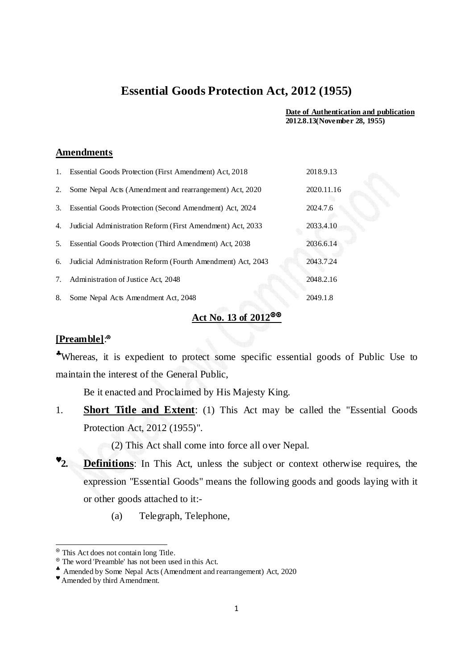## **Essential Goods Protection Act, 2012 (1955)**

**Date of Authentication and publication 2012.8.13(November 28, 1955)** 

## **Amendments**

| $1_{\cdot}$ | Essential Goods Protection (First Amendment) Act, 2018      | 2018.9.13  |
|-------------|-------------------------------------------------------------|------------|
| 2.          | Some Nepal Acts (Amendment and rearrangement) Act, 2020     | 2020.11.16 |
| 3.          | Essential Goods Protection (Second Amendment) Act, 2024     | 2024.7.6   |
| 4.          | Judicial Administration Reform (First Amendment) Act, 2033  | 2033.4.10  |
| 5.          | Essential Goods Protection (Third Amendment) Act, 2038      | 2036.6.14  |
| 6.          | Judicial Administration Reform (Fourth Amendment) Act, 2043 | 2043.7.24  |
| 7.          | Administration of Justice Act, 2048                         | 2048.2.16  |
| 8.          | Some Nepal Acts Amendment Act, 2048                         | 2049.1.8   |

## **Act No. 13 of 2012**

## **[Preamble]**:

♣Whereas, it is expedient to protect some specific essential goods of Public Use to maintain the interest of the General Public,

Be it enacted and Proclaimed by His Majesty King.

1. **Short Title and Extent**: (1) This Act may be called the "Essential Goods Protection Act, 2012 (1955)".

(2) This Act shall come into force all over Nepal.

- ♥**2. Definitions**: In This Act, unless the subject or context otherwise requires, the expression "Essential Goods" means the following goods and goods laying with it or other goods attached to it:-
	- (a) Telegraph, Telephone,

.

This Act does not contain long Title.

The word 'Preamble' has not been used in this Act.

<sup>♣</sup> Amended by Some Nepal Acts (Amendment and rearrangement) Act, 2020

<sup>♥</sup> Amended by third Amendment.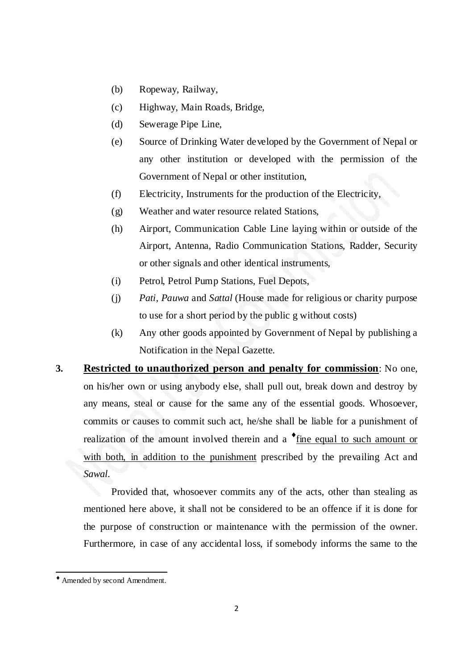- (b) Ropeway, Railway,
- (c) Highway, Main Roads, Bridge,
- (d) Sewerage Pipe Line,
- (e) Source of Drinking Water developed by the Government of Nepal or any other institution or developed with the permission of the Government of Nepal or other institution,
- (f) Electricity, Instruments for the production of the Electricity,
- (g) Weather and water resource related Stations,
- (h) Airport, Communication Cable Line laying within or outside of the Airport, Antenna, Radio Communication Stations, Radder, Security or other signals and other identical instruments,
- (i) Petrol, Petrol Pump Stations, Fuel Depots,
- (j) *Pati, Pauwa* and *Sattal* (House made for religious or charity purpose to use for a short period by the public g without costs)
- (k) Any other goods appointed by Government of Nepal by publishing a Notification in the Nepal Gazette.
- **3. Restricted to unauthorized person and penalty for commission**: No one, on his/her own or using anybody else, shall pull out, break down and destroy by any means, steal or cause for the same any of the essential goods. Whosoever, commits or causes to commit such act, he/she shall be liable for a punishment of realization of the amount involved therein and a  $\bullet$  <u>fine equal to such amount or</u> with both, in addition to the punishment prescribed by the prevailing Act and *Sawal*.

Provided that, whosoever commits any of the acts, other than stealing as mentioned here above, it shall not be considered to be an offence if it is done for the purpose of construction or maintenance with the permission of the owner. Furthermore, in case of any accidental loss, if somebody informs the same to the

l,

<sup>♦</sup> Amended by second Amendment.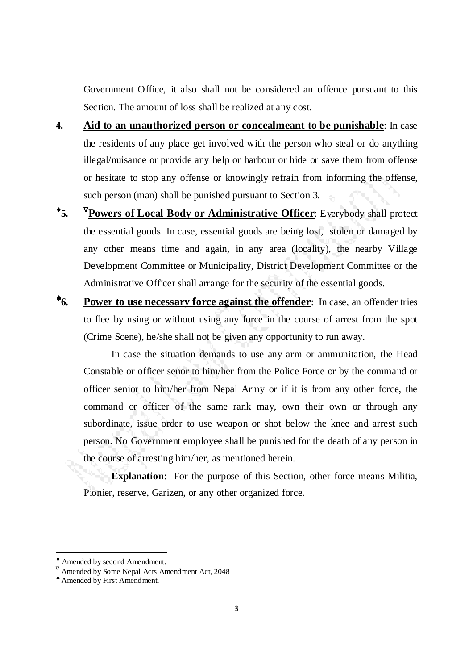Government Office, it also shall not be considered an offence pursuant to this Section. The amount of loss shall be realized at any cost.

- **4. Aid to an unauthorized person or concealmeant to be punishable**: In case the residents of any place get involved with the person who steal or do anything illegal/nuisance or provide any help or harbour or hide or save them from offense or hesitate to stop any offense or knowingly refrain from informing the offense, such person (man) shall be punished pursuant to Section 3.
- $\cdot$  5. **<sup>V</sup>Powers of Local Body or Administrative Officer:** Everybody shall protect the essential goods. In case, essential goods are being lost, stolen or damaged by any other means time and again, in any area (locality), the nearby Village Development Committee or Municipality, District Development Committee or the Administrative Officer shall arrange for the security of the essential goods.
- ♠**6. Power to use necessary force against the offender**: In case, an offender tries to flee by using or without using any force in the course of arrest from the spot (Crime Scene), he/she shall not be given any opportunity to run away.

In case the situation demands to use any arm or ammunitation, the Head Constable or officer senor to him/her from the Police Force or by the command or officer senior to him/her from Nepal Army or if it is from any other force, the command or officer of the same rank may, own their own or through any subordinate, issue order to use weapon or shot below the knee and arrest such person. No Government employee shall be punished for the death of any person in the course of arresting him/her, as mentioned herein.

**Explanation**: For the purpose of this Section, other force means Militia, Pionier, reserve, Garizen, or any other organized force.

.

<sup>♦</sup> Amended by second Amendment.

 $\nabla$  Amended by Some Nepal Acts Amendment Act, 2048

<sup>♠</sup> Amended by First Amendment.